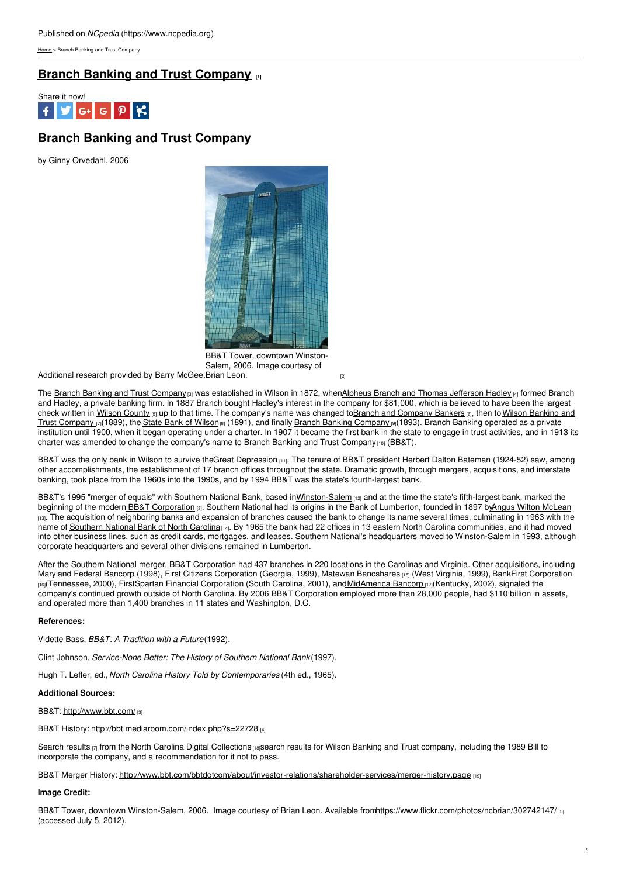[Home](https://www.ncpedia.org/) > Branch Banking and Trust Company

## **Branch Banking and Trust [Company](https://www.ncpedia.org/branch-banking-and-trust-company)**



# **Branch Banking and Trust Company**

by Ginny Orvedahl, 2006



BB&T Tower, downtown Winston-Salem, 2006. Image courtesy of

Additional research provided by Barry McGee. Brian [Leon.](https://www.flickr.com/photos/ncbrian/302742147/) [2]

The Branch Banking and Trust [Company](http://www.bbt.com/) [3] was established in Wilson in 1872, whenAlpheus Branch and Thomas [Jefferson](http://bbt.mediaroom.com/index.php?s=22728) Hadley [4] formed Branch and Hadley, a private banking firm. In 1887 Branch bought Hadley's interest in the company for \$81,000, which is believed to have been the largest check written in Wilson [County](https://www.ncpedia.org/geography/wilson) [5] up to that time. The [company's](http://digital.ncdcr.gov/cdm4/results.php?CISOBOX1=Wilson+Banking+and+Trust+Company&CISOOP1=exact&CISOFIELD1=CISOSEARCHALL&CISOSUPPRESS=1&CISOROOT=all&x=12&y=10) name was changed to Branch and [Company](http://digital.lib.ecu.edu/special/ead/findingaids/0864/) Bankers [6], then to Wilson Banking and Trust Company [7](1889), the State Bank of [Wilson](http://digital.ncdcr.gov/cdm4/document.php?CISOROOT=/p249901coll22&CISOPTR=435827&REC=2) [8] (1891), and finally Branch Banking [Company](http://digital.ncdcr.gov/cdm4/document.php?CISOROOT=/p249901coll22&CISOPTR=211349&REC=2) [9](1893). Branch Banking operated as a private institution until 1900, when it began operating under a charter. In 1907 it became the first bank in the state to engage in trust activities, and in 1913 its charter was amended to change the company's name to Branch Banking and Trust [Company](http://digital.ncdcr.gov/cdm4/document.php?CISOROOT=/p249901coll22&CISOPTR=210221&REC=7) [10] (BB&T).

BB&T was the only bank in Wilson to survive theGreat [Depression](https://www.ncpedia.org/history/20th-Century/great-depression) [11]. The tenure of BB&T president Herbert Dalton Bateman (1924-52) saw, among other accomplishments, the establishment of 17 branch offices throughout the state. Dramatic growth, through mergers, acquisitions, and interstate banking, took place from the 1960s into the 1990s, and by 1994 BB&T was the state's fourth-largest bank.

BB&T's 1995 "merger of equals" with Southern National Bank, based i[nWinston-Salem](https://www.ncpedia.org/geography/winston-salem) [12] and at the time the state's fifth-largest bank, marked the beginning of the modern BB&T [Corporation](http://www.bbt.com/) [3]. Southern National had its origins in the Bank of Lumberton, founded in 1897 byAngus Wilton [McLean](https://www.ncpedia.org/biography/mclean-angus-wilton) [13]. The acquisition of neighboring banks and expansion of branches caused the bank to change its name several times, culminating in 1963 with the name of [Southern](http://www.bankencyclopedia.com/Southern-National-Bank-of-North-Carolina-4899-Lumberton-North-Carolina.html) National Bank of North Carolina<sub>[14]</sub>. By 1965 the bank had 22 offices in 13 eastern North Carolina communities, and it had moved into other business lines, such as credit cards, mortgages, and leases. Southern National's headquarters moved to Winston-Salem in 1993, although corporate headquarters and several other divisions remained in Lumberton.

After the Southern National merger, BB&T Corporation had 437 branches in 220 locations in the Carolinas and Virginia. Other acquisitions, including Maryland Federal Bancorp (1998), First Citizens Corporation (Georgia, 1999), Matewan [Bancshares](http://www.bloomberg.com/quote/MATE:US/profile) [15] (West Virginia, 1999), BankFirst [Corporation](http://www.claytonbank.com/News/BB&TacquiredBankFirstCorp.pdf) [16](Tennessee, 2000), FirstSpartan Financial Corporation (South Carolina, 2001), and MidAmerica Bancorp [17](Kentucky, 2002), signaled the company's continued growth outside of North Carolina. By 2006 BB&T Corporation employed more than 28,000 people, had \$110 billion in assets, and operated more than 1,400 branches in 11 states and Washington, D.C.

#### **References:**

Vidette Bass, *BB&T: A Tradition with a Future*(1992).

Clint Johnson, *Service-None Better: The History of Southern National Bank*(1997).

Hugh T. Lefler, ed.,*North Carolina History Told by Contemporaries* (4th ed., 1965).

### **Additional Sources:**

BB&T: <http://www.bbt.com/> [3]

BB&T History: <http://bbt.mediaroom.com/index.php?s=22728> [4]

[Search](http://digital.ncdcr.gov/cdm4/results.php?CISOBOX1=Wilson+Banking+and+Trust+Company&CISOOP1=exact&CISOFIELD1=CISOSEARCHALL&CISOSUPPRESS=1&CISOROOT=all&x=12&y=10) results  $\eta$  from the North Carolina Digital [Collections](http://digital.ncdcr.gov) [18] Search results for Wilson Banking and Trust company, including the 1989 Bill to incorporate the company, and a recommendation for it not to pass.

BB&T Merger History: <http://www.bbt.com/bbtdotcom/about/investor-relations/shareholder-services/merger-history.page> [19]

#### **Image Credit:**

BB&T Tower, downtown Winston-Salem, 2006. Image courtesy of Brian Leon. Available fro[mhttps://www.flickr.com/photos/ncbrian/302742147/](https://www.flickr.com/photos/ncbrian/302742147/) [2] (accessed July 5, 2012).